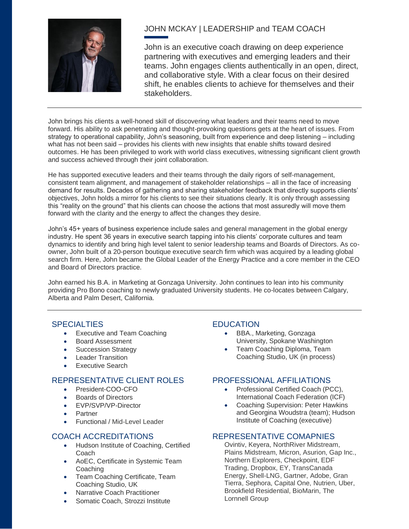

# JOHN MCKAY | LEADERSHIP and TEAM COACH

John is an executive coach drawing on deep experience partnering with executives and emerging leaders and their teams. John engages clients authentically in an open, direct, and collaborative style. With a clear focus on their desired shift, he enables clients to achieve for themselves and their stakeholders.

John brings his clients a well-honed skill of discovering what leaders and their teams need to move forward. His ability to ask penetrating and thought-provoking questions gets at the heart of issues. From strategy to operational capability, John's seasoning, built from experience and deep listening – including what has not been said – provides his clients with new insights that enable shifts toward desired outcomes. He has been privileged to work with world class executives, witnessing significant client growth and success achieved through their joint collaboration.

He has supported executive leaders and their teams through the daily rigors of self-management, consistent team alignment, and management of stakeholder relationships – all in the face of increasing demand for results. Decades of gathering and sharing stakeholder feedback that directly supports clients' objectives, John holds a mirror for his clients to see their situations clearly. It is only through assessing this "reality on the ground" that his clients can choose the actions that most assuredly will move them forward with the clarity and the energy to affect the changes they desire.

John's 45+ years of business experience include sales and general management in the global energy industry. He spent 36 years in executive search tapping into his clients' corporate cultures and team dynamics to identify and bring high level talent to senior leadership teams and Boards of Directors. As coowner, John built of a 20-person boutique executive search firm which was acquired by a leading global search firm. Here, John became the Global Leader of the Energy Practice and a core member in the CEO and Board of Directors practice.

John earned his B.A. in Marketing at Gonzaga University. John continues to lean into his community providing Pro Bono coaching to newly graduated University students. He co-locates between Calgary, Alberta and Palm Desert, California.

## SPECIALTIES EDUCATION

- Executive and Team Coaching
- Board Assessment
- Succession Strategy
- Leader Transition
- Executive Search

## REPRESENTATIVE CLIENT ROLES PROFESSIONAL AFFILIATIONS

- President-COO-CFO
- Boards of Directors
- EVP/SVP/VP-Director
- Partner
- Functional / Mid-Level Leader

## COACH ACCREDITATIONS

- Hudson Institute of Coaching, Certified Coach
- AoEC, Certificate in Systemic Team **Coaching**
- Team Coaching Certificate, Team Coaching Studio, UK
- Narrative Coach Practitioner
- Somatic Coach, Strozzi Institute

- BBA., Marketing, Gonzaga University, Spokane Washington
- Team Coaching Diploma, Team Coaching Studio, UK (in process)

- Professional Certified Coach (PCC), International Coach Federation (ICF)
- Coaching Supervision: Peter Hawkins and Georgina Woudstra (team); Hudson Institute of Coaching (executive)

#### REPRESENTATIVE COMAPNIES

Ovintiv, Keyera, NorthRiver Midstream, Plains Midstream, Micron, Asurion, Gap Inc., Northern Explorers, Checkpoint, EDF Trading, Dropbox, EY, TransCanada Energy, Shell-LNG, Gartner, Adobe, Gran Tierra, Sephora, Capital One, Nutrien, Uber, Brookfield Residential, BioMarin, The Lornnell Group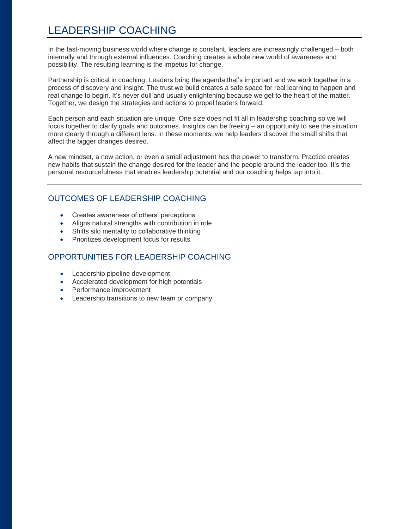# LEADERSHIP COACHING

In the fast-moving business world where change is constant, leaders are increasingly challenged – both internally and through external influences. Coaching creates a whole new world of awareness and possibility. The resulting learning is the impetus for change.

Partnership is critical in coaching. Leaders bring the agenda that's important and we work together in a process of discovery and insight. The trust we build creates a safe space for real learning to happen and real change to begin. It's never dull and usually enlightening because we get to the heart of the matter. Together, we design the strategies and actions to propel leaders forward.

Each person and each situation are unique. One size does not fit all in leadership coaching so we will focus together to clarify goals and outcomes. Insights can be freeing – an opportunity to see the situation more clearly through a different lens. In these moments, we help leaders discover the small shifts that affect the bigger changes desired.

A new mindset, a new action, or even a small adjustment has the power to transform. Practice creates new habits that sustain the change desired for the leader and the people around the leader too. It's the personal resourcefulness that enables leadership potential and our coaching helps tap into it.

# OUTCOMES OF LEADERSHIP COACHING

- Creates awareness of others' perceptions
- Aligns natural strengths with contribution in role
- Shifts silo mentality to collaborative thinking
- Prioritizes development focus for results

## OPPORTUNITIES FOR LEADERSHIP COACHING

- Leadership pipeline development
- Accelerated development for high potentials
- Performance improvement
- Leadership transitions to new team or company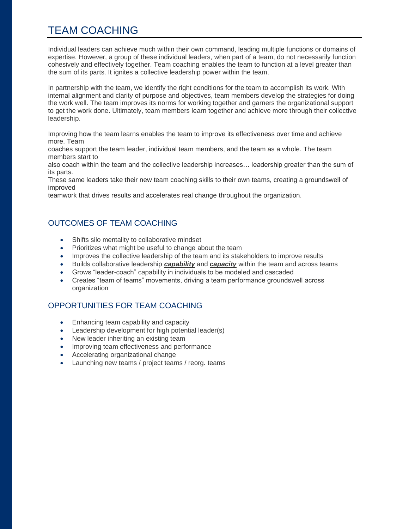# TEAM COACHING

Individual leaders can achieve much within their own command, leading multiple functions or domains of expertise. However, a group of these individual leaders, when part of a team, do not necessarily function cohesively and effectively together. Team coaching enables the team to function at a level greater than the sum of its parts. It ignites a collective leadership power within the team.

In partnership with the team, we identify the right conditions for the team to accomplish its work. With internal alignment and clarity of purpose and objectives, team members develop the strategies for doing the work well. The team improves its norms for working together and garners the organizational support to get the work done. Ultimately, team members learn together and achieve more through their collective leadership.

Improving how the team learns enables the team to improve its effectiveness over time and achieve more. Team

coaches support the team leader, individual team members, and the team as a whole. The team members start to

also coach within the team and the collective leadership increases… leadership greater than the sum of its parts.

These same leaders take their new team coaching skills to their own teams, creating a groundswell of improved

teamwork that drives results and accelerates real change throughout the organization.

# OUTCOMES OF TEAM COACHING

- Shifts silo mentality to collaborative mindset
- Prioritizes what might be useful to change about the team
- Improves the collective leadership of the team and its stakeholders to improve results
- Builds collaborative leadership *capability* and *capacity* within the team and across teams
- Grows "leader-coach" capability in individuals to be modeled and cascaded
- Creates "team of teams" movements, driving a team performance groundswell across organization

# OPPORTUNITIES FOR TEAM COACHING

- Enhancing team capability and capacity
- Leadership development for high potential leader(s)
- New leader inheriting an existing team
- Improving team effectiveness and performance
- Accelerating organizational change
- Launching new teams / project teams / reorg. teams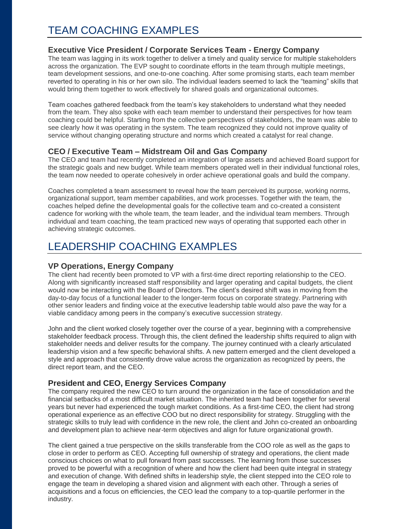# TEAM COACHING EXAMPLES

## **Executive Vice President / Corporate Services Team - Energy Company**

The team was lagging in its work together to deliver a timely and quality service for multiple stakeholders across the organization. The EVP sought to coordinate efforts in the team through multiple meetings, team development sessions, and one-to-one coaching. After some promising starts, each team member reverted to operating in his or her own silo. The individual leaders seemed to lack the "teaming" skills that would bring them together to work effectively for shared goals and organizational outcomes.

Team coaches gathered feedback from the team's key stakeholders to understand what they needed from the team. They also spoke with each team member to understand their perspectives for how team coaching could be helpful. Starting from the collective perspectives of stakeholders, the team was able to see clearly how it was operating in the system. The team recognized they could not improve quality of service without changing operating structure and norms which created a catalyst for real change.

### **CEO / Executive Team – Midstream Oil and Gas Company**

The CEO and team had recently completed an integration of large assets and achieved Board support for the strategic goals and new budget. While team members operated well in their individual functional roles, the team now needed to operate cohesively in order achieve operational goals and build the company.

Coaches completed a team assessment to reveal how the team perceived its purpose, working norms, organizational support, team member capabilities, and work processes. Together with the team, the coaches helped define the developmental goals for the collective team and co-created a consistent cadence for working with the whole team, the team leader, and the individual team members. Through individual and team coaching, the team practiced new ways of operating that supported each other in achieving strategic outcomes.

# LEADERSHIP COACHING EXAMPLES

## **VP Operations, Energy Company**

The client had recently been promoted to VP with a first-time direct reporting relationship to the CEO. Along with significantly increased staff responsibility and larger operating and capital budgets, the client would now be interacting with the Board of Directors. The client's desired shift was in moving from the day-to-day focus of a functional leader to the longer-term focus on corporate strategy. Partnering with other senior leaders and finding voice at the executive leadership table would also pave the way for a viable candidacy among peers in the company's executive succession strategy.

John and the client worked closely together over the course of a year, beginning with a comprehensive stakeholder feedback process. Through this, the client defined the leadership shifts required to align with stakeholder needs and deliver results for the company. The journey continued with a clearly articulated leadership vision and a few specific behavioral shifts. A new pattern emerged and the client developed a style and approach that consistently drove value across the organization as recognized by peers, the direct report team, and the CEO.

#### **President and CEO, Energy Services Company**

The company required the new CEO to turn around the organization in the face of consolidation and the financial setbacks of a most difficult market situation. The inherited team had been together for several years but never had experienced the tough market conditions. As a first-time CEO, the client had strong operational experience as an effective COO but no direct responsibility for strategy. Struggling with the strategic skills to truly lead with confidence in the new role, the client and John co-created an onboarding and development plan to achieve near-term objectives and align for future organizational growth.

The client gained a true perspective on the skills transferable from the COO role as well as the gaps to close in order to perform as CEO. Accepting full ownership of strategy and operations, the client made conscious choices on what to pull forward from past successes. The learning from those successes proved to be powerful with a recognition of where and how the client had been quite integral in strategy and execution of change. With defined shifts in leadership style, the client stepped into the CEO role to engage the team in developing a shared vision and alignment with each other. Through a series of acquisitions and a focus on efficiencies, the CEO lead the company to a top-quartile performer in the industry.